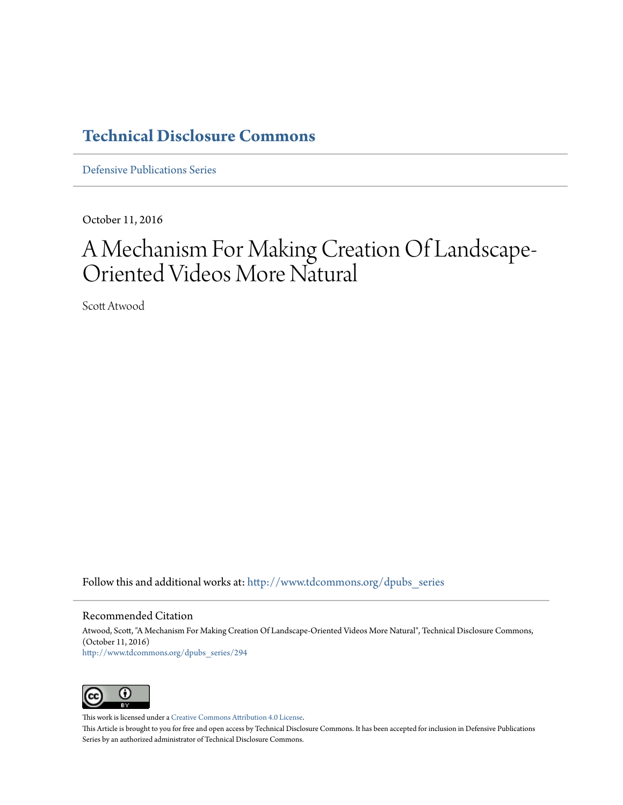### **[Technical Disclosure Commons](http://www.tdcommons.org?utm_source=www.tdcommons.org%2Fdpubs_series%2F294&utm_medium=PDF&utm_campaign=PDFCoverPages)**

[Defensive Publications Series](http://www.tdcommons.org/dpubs_series?utm_source=www.tdcommons.org%2Fdpubs_series%2F294&utm_medium=PDF&utm_campaign=PDFCoverPages)

October 11, 2016

# A Mechanism For Making Creation Of Landscape-Oriented Videos More Natural

Scott Atwood

Follow this and additional works at: [http://www.tdcommons.org/dpubs\\_series](http://www.tdcommons.org/dpubs_series?utm_source=www.tdcommons.org%2Fdpubs_series%2F294&utm_medium=PDF&utm_campaign=PDFCoverPages)

### Recommended Citation

Atwood, Scott, "A Mechanism For Making Creation Of Landscape-Oriented Videos More Natural", Technical Disclosure Commons, (October 11, 2016) [http://www.tdcommons.org/dpubs\\_series/294](http://www.tdcommons.org/dpubs_series/294?utm_source=www.tdcommons.org%2Fdpubs_series%2F294&utm_medium=PDF&utm_campaign=PDFCoverPages)



This work is licensed under a [Creative Commons Attribution 4.0 License.](http://creativecommons.org/licenses/by/4.0/deed.en_US)

This Article is brought to you for free and open access by Technical Disclosure Commons. It has been accepted for inclusion in Defensive Publications Series by an authorized administrator of Technical Disclosure Commons.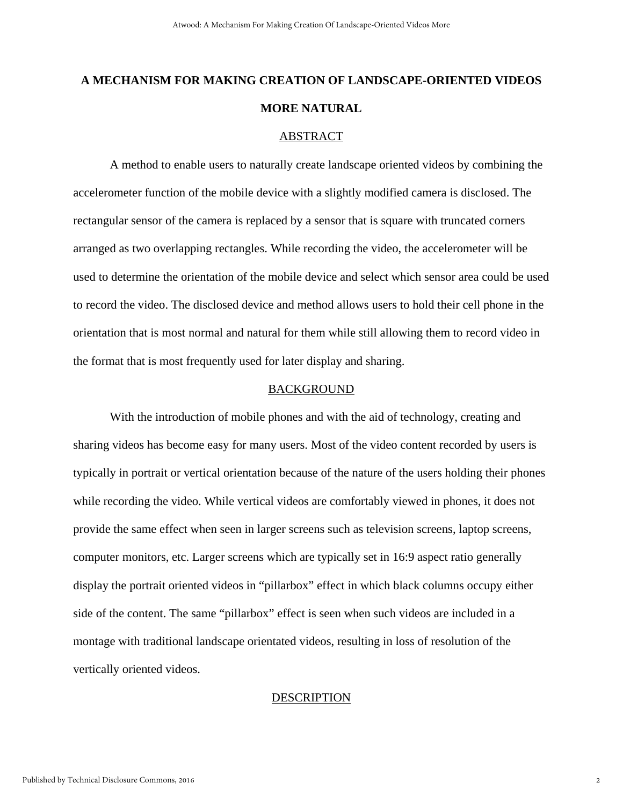## **A MECHANISM FOR MAKING CREATION OF LANDSCAPE-ORIENTED VIDEOS MORE NATURAL**

#### ABSTRACT

A method to enable users to naturally create landscape oriented videos by combining the accelerometer function of the mobile device with a slightly modified camera is disclosed. The rectangular sensor of the camera is replaced by a sensor that is square with truncated corners arranged as two overlapping rectangles. While recording the video, the accelerometer will be used to determine the orientation of the mobile device and select which sensor area could be used to record the video. The disclosed device and method allows users to hold their cell phone in the orientation that is most normal and natural for them while still allowing them to record video in the format that is most frequently used for later display and sharing.

### BACKGROUND

With the introduction of mobile phones and with the aid of technology, creating and sharing videos has become easy for many users. Most of the video content recorded by users is typically in portrait or vertical orientation because of the nature of the users holding their phones while recording the video. While vertical videos are comfortably viewed in phones, it does not provide the same effect when seen in larger screens such as television screens, laptop screens, computer monitors, etc. Larger screens which are typically set in 16:9 aspect ratio generally display the portrait oriented videos in "pillarbox" effect in which black columns occupy either side of the content. The same "pillarbox" effect is seen when such videos are included in a montage with traditional landscape orientated videos, resulting in loss of resolution of the vertically oriented videos.

### DESCRIPTION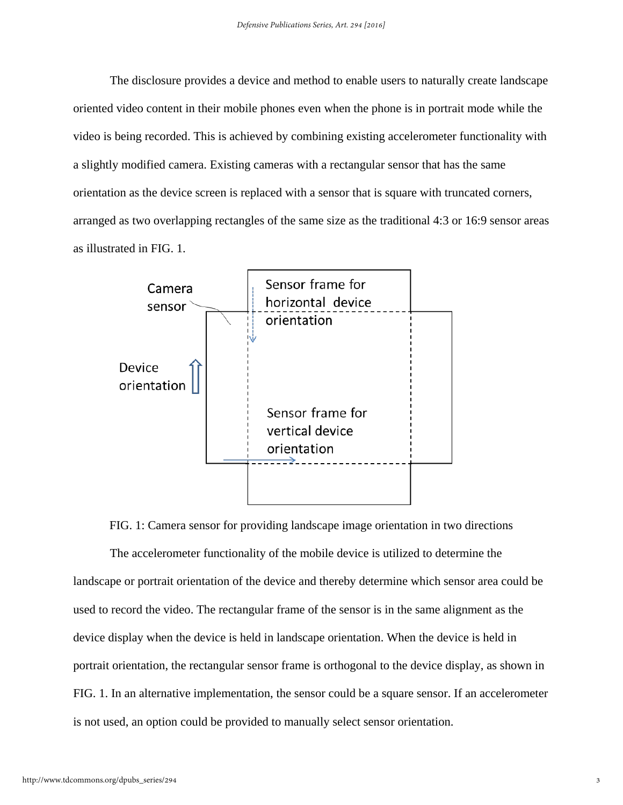The disclosure provides a device and method to enable users to naturally create landscape oriented video content in their mobile phones even when the phone is in portrait mode while the video is being recorded. This is achieved by combining existing accelerometer functionality with a slightly modified camera. Existing cameras with a rectangular sensor that has the same orientation as the device screen is replaced with a sensor that is square with truncated corners, arranged as two overlapping rectangles of the same size as the traditional 4:3 or 16:9 sensor areas as illustrated in FIG. 1.



FIG. 1: Camera sensor for providing landscape image orientation in two directions

The accelerometer functionality of the mobile device is utilized to determine the landscape or portrait orientation of the device and thereby determine which sensor area could be used to record the video. The rectangular frame of the sensor is in the same alignment as the device display when the device is held in landscape orientation. When the device is held in portrait orientation, the rectangular sensor frame is orthogonal to the device display, as shown in FIG. 1. In an alternative implementation, the sensor could be a square sensor. If an accelerometer is not used, an option could be provided to manually select sensor orientation.